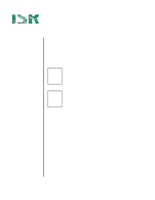

# **Institute for Softwar e Research**

University of California, Irvine



Institute for Software Reseach University f California,Irvine Irvine CA 92697-3425 www.isr.uci.edu

www .isr.uci.edu/tech-reports.html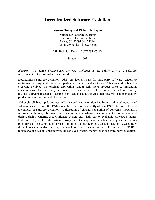# **Decentralized Software Evolution**

## **Peyman Oreizy and Richard N. Taylor**

Institute for Software Research University of California, Irvine Irvine, CA 92697-3425 USA {peymano, taylor}@ics.uci.edu

ISR Technical Report # UCI-ISR-03-10

September 2003

**Abstract:** We define *decentralized software evolution* as the ability to evolve software independent of the original software vendor.

Decentralized software evolution (DSE) provides a means for third-party software vendors to customize existing applications for particular domains and customers. This capability benefits everyone involved: the original application vendor sells more product since customization constitutes use; the third-party developer delivers a product in less time and with lower cost by reusing software instead of starting from scratch; and the customer receives a higher quality product in less time and with lower cost.

Although reliable, rapid, and cost effective software evolution has been a principal concern of software research since the 1970's, results to date do not directly address DSE. The principles and techniques of software evolution—anticipation of change, separation of concerns, modularity, information hiding, object-oriented design, mediator-based design, adaptive object-oriented design, design patterns, aspect-oriented design, etc.—help *design* evolvable software systems. Unfortunately, the flexibility attained using these techniques is lost when the application is compiled for use. The compilation process solidifies the plasticity of a design, making it exceedingly difficult to accommodate a change that would otherwise be easy to make. The objective of DSE is to preserve the design's plasticity in the deployed system, thereby enabling third-party evolution.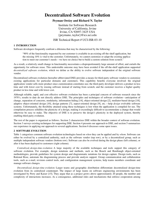# **Decentralized Software Evolution**

## **Peyman Oreizy and Richard N. Taylor**

Institute for Software Research University of California, Irvine Irvine, CA 92697-3425 USA {peymano, taylor}@ics.uci.edu

ISR Technical Report # UCI-ISR-03-10

#### **1 INTRODUCTION**

Software developers frequently confront a dilemma that may be characterized by the following:

ì90% of the functionality requested by our customer is available in an existing off-the-shelf application, but the missing  $10\%$  is vital to the customer. Unfortunately, we cannot customize or adapt the existing application to meet our customer's needs—we have no choice but to build a custom solution from scratch."

As a result, a relatively small change in functionality necessitates a disproportionately large amount of effort, and curtails the opportunity for software reuse. This undesirable outcome may have been avoided if the off-the-shelf application supported *decentralized software evolution*, which we define as the ability to evolve software independent of the original software vendor.

Decentralized software evolution (hereafter abbreviated DSE) provides a means for third-party software vendors to customize existing applications for particular domains and customers. This capability benefits everyone involved: the original application vendor sells more product since customization constitutes use; the third-party developer delivers a product in less time and with lower cost by reusing software instead of starting from scratch; and the customer receives a higher quality product in less time and with lower cost.

Although reliable, rapid, and cost effective software evolution has been a principal concern of software research since the 1970's, results to date do not directly address DSE. The principles and techniques of software evolution—anticipation of change, separation of concerns, modularity, information hiding [14], object-oriented design [2], mediator-based design [18], adaptive object-oriented design [10], design patterns [7], aspect-oriented design [9], etc. —help *design* evolvable software systems. Unfortunately, the flexibility attained using these techniques is lost when the application is compiled for use. The compilation process solidifies the plasticity of a design, making it exceedingly difficult to accommodate a change that would otherwise be easy to make. The objective of DSE is to preserve the designís plasticity in the deployed system, thereby enabling third-party evolution.

The rest of the paper is organized as follows. Section 2 characterizes DSE within the broader context of software evolution. Section 3 surveys existing techniques for supporting DSE. Section 4 presents our approach to DSE, and section 5 summarizes our experience in applying our approach to several applications. Section 6 discusses some open issues.

#### **2 SOFTWARE EVOLUTION**

Table 1 categorizes common software evolution technologies based on *when* they can be applied and by *whom.* Software can either be evolved by a centralized authority, such as the software vendor (top row), or by a decentralized group, such as multiple independent software vendors (bottom row). Software can also be evolved during the design phase (left column), or after it has been deployed to customers (right column).

*Centralized, design-time evolution:* A large majority of the available techniques and tools support this category of software evolution. For example, design notations and methods, such as the Booch and Rumbaugh object-oriented methodologies, provide guidelines for system design and diagrammatic notations for design capture. Design tools, such as Rational Rose, automate the diagramming process and provide analysis support. Group communication and collaboration tools, such as e-mail, revision control tools, and configuration management systems, help teams members coordinate and manage software changes.

*Decentralized, design-time evolution:* Larger teams and geographic distribution differentiate decentralized design-time evolution from its centralized counterpart. The impact of large teams on software engineering environments has been investigated by Perry and Kaiser [15]. They argue that as a project grows above approximately 20 people, the number and complexity of interactions increases. As a consequence, additional rules and mechanisms that enforce cooperation among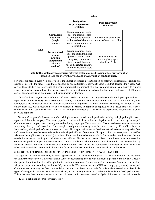|    |                                                                                    | Design-time<br>(or pre-deployment)<br>evolution                                                                                                                                             | Post-deployment<br>evolution                                 |
|----|------------------------------------------------------------------------------------|---------------------------------------------------------------------------------------------------------------------------------------------------------------------------------------------|--------------------------------------------------------------|
| ho | <b>Centralized</b><br>authority<br>(single<br>vendor)                              | Design notations, meth-<br>ods, and tools; process<br>system; group communi-<br>cation and collaboration<br>tools; configuration man-<br>agement tools                                      | Release management sys-<br>tems; software patch files        |
|    | <b>Decentralized</b><br>group<br>(multiple)<br>independent<br>software<br>vendors) | Design notations, meth-<br>ods, and tools; multi-site<br>process system; wide-<br>area group communica-<br>tion and collaboration<br>tools; distributed configu-<br>ration management tools | Software plug-ins;<br>scripting languages;<br>developer APIs |

**Table 1: This 2x2 matrix categorizes different techniques used to support software evolution based on** *who* **can evolve the system and** *when* **evolution can take place.**

personnel are needed. Less well understood is the impact of geographic distribution on software development. Fielding and Kaiser [5] describe the processes and tools adopted by one particular globally distributed team that develops the Apache Web server. They identify the importance of e-mail communication, archival of e-mail communication (as a means to support group memory), a shared information space accessible by project members, and coordination tools. Cutkosky et. al. [4] report similar experiences using the Internet in the manufacturing domain.

*Centralized, post-deployment evolution:* Software vendors evolving (i.e., upgrading) their deployed applications is represented by this category. Since evolution is done by a single authority, change conflicts do not arise. As a result, most technologies are concerned with the efficient distribution of upgrades. The most common technology in use today is the binary patch file, which encodes the byte-level changes necessary to upgrade an application to a subsequent release. More sophisticated tools, such as Tivoli's TME/10 [21] and SoftwareDock [8], use software dependency information to guide software upgrades.

*Decentralized, post-deployment evolution:* Multiple software vendors independently evolving a deployed application is represented by this category. The most popular techniques include software plug-ins, which are used by Netscape's Communicator to support new content types, and scripting languages. There are a host of issues and consequences inherent in supporting this type of evolution. For example, configuration management becomes necessary if conflicts between independently developed software add-ons can occur. Since applications are evolved in-the-field, anomalies may arise from unforeseen interactions between independently developed add-ons. Consequentially, application consistency must be verified whenever the application is modified (i.e., when add-ons are installed or removed). Software add-on vendors must also use standard formats for packaging and distributing add-ons. Furthermore, decentralized control over software evolution complicates product support and documentation since no single authority represents an application that has been evolved by multiple vendors. End-user installation of software add-ons necessitates that configuration management and analysis be robust and accessible to non-technical users. We focus on this class of evolution in the remainder of the paper.

#### **3 EXISTING TECHNIQUES FOR SUPPORTING DECENTRALIZED SOFTWARE EVOLUTION**

The degree of flexibility afforded by different approaches to DSE is depicted in Figure 1. At the extreme left of the spectrum, the software vendor deploys the application's source code, enabling anyone with sufficient expertise to modify any aspect of

the application's functionality. Although this is rare in the commercial software market, numerous free-ware<sup>1</sup> applications adopt this approach, including the Linux OS, the Apache Web server, and the GNU tools (e.g., gcc, emacs). Netscape's Communicator is among the first commercial products to distribute source code for independent extension. Although the types of changes that can be made are unrestricted, it is extremely difficult to combine independently developed add-ons. This is because determining whether or not two changes conflict requires careful analysis of the source code and cannot be

**W** 

<sup>1.</sup> For a definition of "free software", see [6]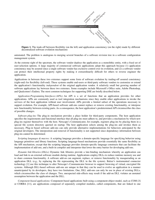

**Figure 1.** The trade-off between flexibility (on the left) and application consistency (on the right) made by different decentralized software evolution mechanisms

automated. The problem is analogous to merging several branches of a software revision tree in a software configuration management system.

At the extreme right of the spectrum, the software vendor deploys the application as a monolithic entity, with a fixed set of user-selection options. A large majority of commercial software applications adopt this approach because (1) application consistency may be assured since a single software vendor has exclusive control over its evolution, and (2) a software vendor can protect their intellectual property rights by making it extraordinarily difficult for others to reverse engineer the application.

Applications in between these two extremes support some form of software evolution by trading-off assured consistency (right-end) for flexibility (left-end). These systems enable end-users or third-party software vendors to customize or extend the applicationís functionality *independent* of the original application vendor. A relatively small but growing number of software applications lay between these two extremes. Some examples include Microsoft's Office suite, Adobe Photoshop, and Qualcomm's Eudora. The most common techniques for supporting DSE are briefly described below.

*Application Programming Interfaces (APIs):* An API is a set of functions that an application provides for other applications. APIs are commonly used as tool integration mechanisms since they enable other applications to invoke the services of the host application without user involvement. APIs provide a limited subset of the operations necessary to support evolution. For example, API-based software add-ons cannot replace or remove existing functionality, or interpose new functionality between existing parts. As a consequence, the host application's predetermined API circumscribes the class of possible changes.

*Software plug-ins:* The plug-in mechanism provides a place holder for third-party components. The host application specifies the requirements and functional interface that all plug-ins must adhere to, and provides a mechanism by which new plug-ins register themselves with the host. Netscapeís Communicator, for example, registers plug-ins by placing them in a special file system directory queried on startup. The host application selects among the plug-ins and invokes them as necessary. Plug-in based software add-ons can only provide alternative implementations for behaviors anticipated by the original developers. The interposition and removal of functionality is not supported since dependency information between plug-ins cannot be determined.

*Scripting languages & macros:* A scripting language provides a domain-specific language for specifying behavior using language primitives and library functions. Scripting language-based mechanisms provide essentially the same flexibility as the API mechanism, except that the scripting language provides domain-specific language constructs that can facilitate the implementation of add-ons, and a built-in compiler and interpreter that lower the entry barrier for developing add-ons.

*Dynamic link libraries (DLLs):* Dynamic link libraries provide a late-binding mechanism whereby an application can load and link to an external software module during runtime. Applications employ DLLs to reduce runtime memory use and to share common functionality. A software add-on can augment, replace, or remove functionality by masquerading as an application DLL (e.g., by replacing the file representing the DLL in the file system). Balzer's instrumented connector technology [1] use this technique to alter Netscape's Communicator browser to support browsing of virtual, encrypted file systems. Although DLL-based software add-ons are unique in that they can be used to evolve an application in a manner unanticipated by its developers, they have two limitations. One, DLL add-ons can only be use in place of existing DLLs, which circumscribes the class of changes. Two, unexpected side-effects may result if the add-on DLL violates an unstated assumption between the application and the DLL.

*Component-based applications:* Component-based applications built using a component-object model, such as COM [3] or CORBA [11], are applications composed of separately compiled modules, called components, that are linked to one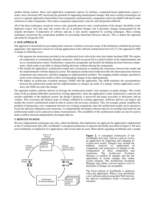another during runtime. Since each application component exposes its interface, component-based applications expose a richer, more structured API, increasing the potential of supporting unanticipated changes. But since existing technologies do not try to separate application functionality from component communication, components tend to be riddled with hard-coded references to other components. This makes component replacement, removal, and interposition difficult.

All of the these techniques, except for source code, generally preserve only a small portion of the design's flexibility in the deployed system. Not only does this restrict the set of potential changes, but it precludes changes unanticipated by the original developers. Composition of software add-ons is also poorly supported by existing techniques. Most existing techniques circumvent the composition problem by preventing interaction between add-ons. This is indeed the approach advocated by Szyperski [19].

#### **4 OUR APPROACH**

Our approach to decentralized, post-deployment software evolution overcomes many of the limitations exhibited by previous approaches. Our approach is based on evolving applications at the software architectural-level [16,17]. Our approach to DSE is unique in following ways:

- ï We augment the abstractions provided at the architectural level with stylist rules that further facilitate DSE. We require all components to communicate through connectors, which are preserved as explicit entities in the implementation and act as communication routers. Furthermore, connectors encapsulate and localize the binding decisions between components, which makes it possible to change binding decisions without altering the components.
- We include the application's architectural model and a mechanism to maintain the consistency between this model and the implementation with the deployed system. The deployed architectural model describes the interconnections between components and connectors, and their mappings to implementation modules. The mapping enables changes specified in terms of the architectural model to effect corresponding changes in the implementation.
- We deploy an architecture evolution manager (AEM) with the application. The AEM maintains the correspondence between the architectural model and the implementation as changes are made. If a change violates application consistency, the AEM can reject the change.

Our approach enables software add-ons to leverage the architectural model's rich semantics to guide changes. This avoids many of the accidental difficulties incurred by existing approaches. Since the application's entire architecture is exposed and remains malleable in the deployed system, the design's plasticity is preserved and made accessibly to third-party add-on vendors. This overcomes the limited scope of change exhibited by existing approaches. Software add-ons can inspect and modify the systemís architectural model in order to achieve the necessary semantics. This, for example, greatly simplifies the problem of interposing a new component between two existing components since the architectural model can be queried to locate the affected components and connectors. As independently developed software add-ons are installed and removed, the architectural model can be analyzed to detect inconsistencies. The availability of the architectural model can also be used to detect conflicts between independently developed add-ons.

## **5 RESULTS TO DATE**

We have implemented a prototype tool suite, called ArchStudio, that implements our approach for applications implemented in the C2 architectural style [20]. ArchStudio's conceptual architecture is depicted and briefly described in Figure 2. We have used ArchStudio to implement two applications with several add-ons each. More details regarding ArchStudio and a sample



**Figure 2.** A conceptual architecture of the ArchStudio tool suite. *Software add-ons* evolve an application by inspecting and changing its *architectural model*. Changes may include the addition, removal, or replacement of components and connectors, or changes to the configuration of those components and connectors. The *Architecture Evolution Manager* is notified of changes and has the opportunity to revoke changes that violate system integrity. The Architecture Evolution Manager may utilize *external analysis tools* to determine if changes are acceptable.

The lower portion of ArchStudio is deployed with each application. When a user downloads a new software add-on using their Web browser, the add-on's installation script is located and executed.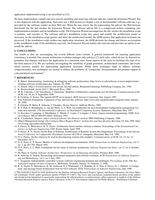application implemented using it are described in [12].

We have implemented a simple end-user tool for installing and removing software add-ons, called the Extension Wizard, that is also deployed with the application. End-users use a Web browser to display a list of downloadable software add-ons, e.g., provided by the software vendor on their Web site. When the user selects the file representing the add-on, the Web browser downloads the file and invokes the Extension Wizard. The software add-on file is a compressed archive containing new implementation modules and an installation script. The Extension Wizard uncompresses the file, locates the installation script it contains, and executes it. The software add-on's installation script may query and modify the architectural model as necessary. As the installation script queries and alters the architectural model, the AEM ensures that application invariants are preserved. If the installation script violates any application invariants, the AEM prevents the change and throws an exception to the installation script. If the installation succeeds, the Extension Wizard notifies the end-user and provides an option to uninstall the add-on.

#### **6 CONCLUSIONS**

Our results to date are encouraging, but several difficult issues remain. A general framework for ensuring application consistency is needed. Our current architecture evolution manager only enforces C2-style rules, which do not, by themselves, guarantee that changes will leave the application in a consistent state. Some aspects of the style do facilitate this type of inthe-field analysis [13]. We are currently investigating the suitability of graph grammars, architectural constraints, and eventbased resource models for representing application invariants. While these techniques hope to address software compositionality, new techniques are needed to address the problems of "composing" documentation and product support in a decentralized environment.<sup>2</sup>

#### **7 REFERENCES**

- 1. R. Balzer. Instrumenting, monitoring, & debugging software architectures. http://www.isi.edu/software-sciences/papers/instrumenting-software-architectures.doc, January 28, 1998.
- 2. G. Booch. *Object-oriented analysis and design*. Second edition. Benjamin/Cummings Publishing Company, Inc. 1994.
- 3. K. Brockschmidt. *Inside OLE 2*. Microsoft Press, 1994.
- 4. M. R. Cutkosky, J. M. Tenenbaum, J. Glicksman. Madefast: Collaborative engineering over the Internet. *Communications of the ACM*, vol. 39, no. 9, September 1996.
- 5. R. Fielding, G. Kaiser. The Apache HTTP server project. *IEEE Internet Computing*, July-August 1997.
- 6. Free Software Foundation. Categories of free and non-free software. http://www.gnu.org/philosophy/categories.html, January 28, 1998.
- 7. E. Gamma, R. Helm, R. Johnson, J. Vlissides. *Design Patterns*. Addison-Wesley, 1995.
- 8. R. S. Hall, D. Heimbigner, A. van der Hoek, A. L. Wolf. An architecture for post-development configuration management in a wide-area network. *17th International Conference on Distributed Computing Systems*, Baltimore, Maryland, May 1997.
- 9. G. Kiczales, J. Lamping, A. Mendhekar, C. Maeda, C. Lopes, J. Loingtier, J. Irwin. Aspect-oriented programming. *PARC Technical Report*, SPL97-008 P9710042. February 1997.
- 10. K. J. Lieberherr. *Adaptive object-oriented software–the Demeter method*. PWS Publishing Company. 1996.
- 11. Object Management Group. *The Common Object Request Broker: Architecture and Specification*, Revision 2.0, July 1996. http:/ /www.omg.org/corba/corbiiop.htm
- 12. P. Oreizy, N. Medvidovic, R. N. Taylor. Architecture-based runtime software evolution. Proceedings of the *International Conference on Software Engineering 1998,* Kyoto, Japan. April 1998.
- 13. P. Oreizy, R. N. Taylor. On the Role of Software Architectures in Runtime System Reconfiguration. Proceedings of the *International Conference on Configurable Distributed Systems (ICCDS 4)*. Annapolis, Maryland, May 4-6, 1998.
- 14. D. L. Parnas. On the criteria to be used in decomposing systems into modules. *Communications of ACM.* vol. 15, no. 12, December 1972.
- 15. D. E. Perry, G. E. Kaiser. Models of software development environments. *IEEE Transactions on Software Engineering*, vol 17, no. 3. pp 283-295, March 1991.
- 16. D. E. Perry, A. L. Wolf, Foundations for the study of software architecture. *Software Engineering Notes*, vol 17, no 4, October 1992.
- 17. M. Shaw, D. Garlan. *Software Architecture: Perspectives on an Emerging Discipline*, Prentice-Hall, 1996.
- 18. K. Sullivan, D. Notkin. Reconciling environment integration and software evolution. *ACM Transactions on Software Engineering and Methodology*. vol 1, no 3, July 1992.
- 19. C. Szyperski. Independently extensible systems-software engineering potential and challenges. *Proceedings of the 19th Australasian Computer Science Conference*, Melbourne, Australia, January 31- February 2, 1996.
- 20. R. N. Taylor, N. Medvidovic, K. M. Anderson, E. J. Whitehead, J. E. Robbins, K. A. Nies, P. Oreizy, D. L. Dubrow. A Component- and message-based architectural style for GUI software. *IEEE Transactions on Software Engineering,* June 1996.

<sup>2.</sup> This material is based on work sponsored by the Defense Advanced Research Projects Agency, and Rome Laboratory, Air Force Materiel Command, USAF, under agreement number F30602-97-2-0021. The views and conclusions contained herein are those of the authors and should not be interpreted as necessarily representing the official policies or endorsements, either expressed or implied, of the Defense Advanced Research Projects Agency, Rome Laboratory or the U.S. Government. Approved for Public Release - Distribution Unlimited.